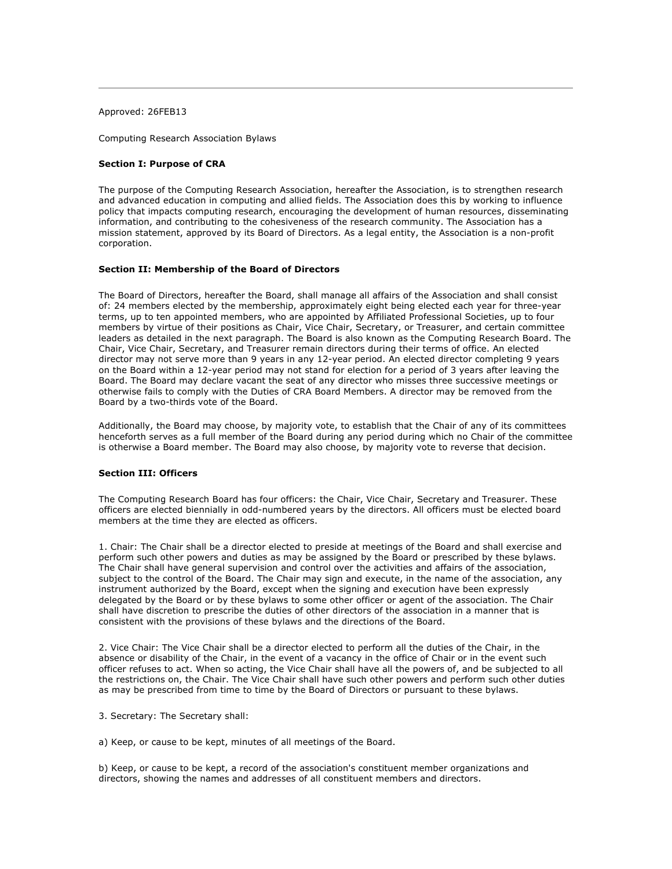Approved: 26FEB13

Computing Research Association Bylaws

# **Section I: Purpose of CRA**

The purpose of the Computing Research Association, hereafter the Association, is to strengthen research and advanced education in computing and allied fields. The Association does this by working to influence policy that impacts computing research, encouraging the development of human resources, disseminating information, and contributing to the cohesiveness of the research community. The Association has a mission statement, approved by its Board of Directors. As a legal entity, the Association is a non-profit corporation.

### **Section II: Membership of the Board of Directors**

The Board of Directors, hereafter the Board, shall manage all affairs of the Association and shall consist of: 24 members elected by the membership, approximately eight being elected each year for three-year terms, up to ten appointed members, who are appointed by Affiliated Professional Societies, up to four members by virtue of their positions as Chair, Vice Chair, Secretary, or Treasurer, and certain committee leaders as detailed in the next paragraph. The Board is also known as the Computing Research Board. The Chair, Vice Chair, Secretary, and Treasurer remain directors during their terms of office. An elected director may not serve more than 9 years in any 12-year period. An elected director completing 9 years on the Board within a 12-year period may not stand for election for a period of 3 years after leaving the Board. The Board may declare vacant the seat of any director who misses three successive meetings or otherwise fails to comply with the Duties of CRA Board Members. A director may be removed from the Board by a two-thirds vote of the Board.

Additionally, the Board may choose, by majority vote, to establish that the Chair of any of its committees henceforth serves as a full member of the Board during any period during which no Chair of the committee is otherwise a Board member. The Board may also choose, by majority vote to reverse that decision.

## **Section III: Officers**

The Computing Research Board has four officers: the Chair, Vice Chair, Secretary and Treasurer. These officers are elected biennially in odd-numbered years by the directors. All officers must be elected board members at the time they are elected as officers.

1. Chair: The Chair shall be a director elected to preside at meetings of the Board and shall exercise and perform such other powers and duties as may be assigned by the Board or prescribed by these bylaws. The Chair shall have general supervision and control over the activities and affairs of the association, subject to the control of the Board. The Chair may sign and execute, in the name of the association, any instrument authorized by the Board, except when the signing and execution have been expressly delegated by the Board or by these bylaws to some other officer or agent of the association. The Chair shall have discretion to prescribe the duties of other directors of the association in a manner that is consistent with the provisions of these bylaws and the directions of the Board.

2. Vice Chair: The Vice Chair shall be a director elected to perform all the duties of the Chair, in the absence or disability of the Chair, in the event of a vacancy in the office of Chair or in the event such officer refuses to act. When so acting, the Vice Chair shall have all the powers of, and be subjected to all the restrictions on, the Chair. The Vice Chair shall have such other powers and perform such other duties as may be prescribed from time to time by the Board of Directors or pursuant to these bylaws.

#### 3. Secretary: The Secretary shall:

a) Keep, or cause to be kept, minutes of all meetings of the Board.

b) Keep, or cause to be kept, a record of the association's constituent member organizations and directors, showing the names and addresses of all constituent members and directors.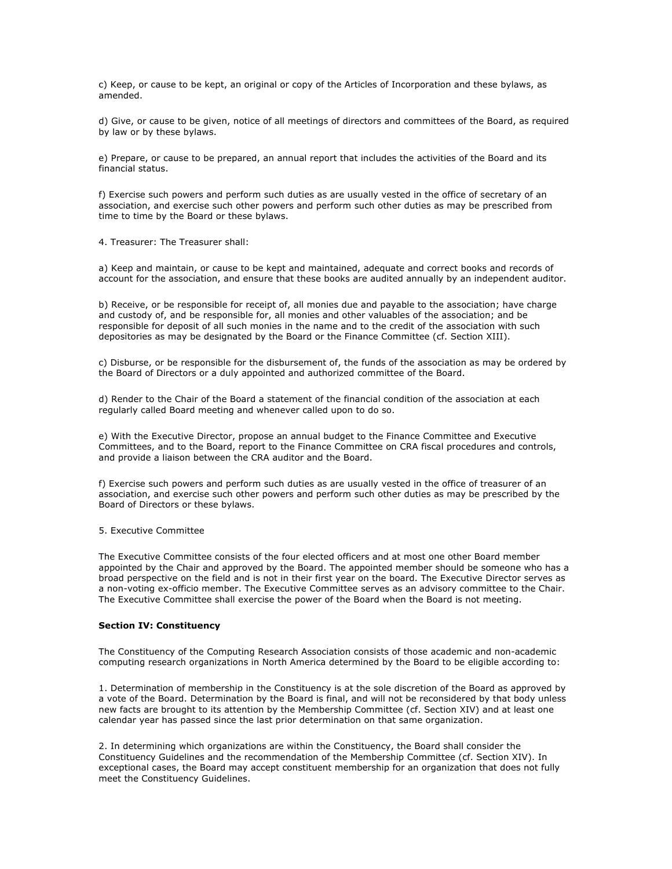c) Keep, or cause to be kept, an original or copy of the Articles of Incorporation and these bylaws, as amended.

d) Give, or cause to be given, notice of all meetings of directors and committees of the Board, as required by law or by these bylaws.

e) Prepare, or cause to be prepared, an annual report that includes the activities of the Board and its financial status.

f) Exercise such powers and perform such duties as are usually vested in the office of secretary of an association, and exercise such other powers and perform such other duties as may be prescribed from time to time by the Board or these bylaws.

4. Treasurer: The Treasurer shall:

a) Keep and maintain, or cause to be kept and maintained, adequate and correct books and records of account for the association, and ensure that these books are audited annually by an independent auditor.

b) Receive, or be responsible for receipt of, all monies due and payable to the association; have charge and custody of, and be responsible for, all monies and other valuables of the association; and be responsible for deposit of all such monies in the name and to the credit of the association with such depositories as may be designated by the Board or the Finance Committee (cf. Section XIII).

c) Disburse, or be responsible for the disbursement of, the funds of the association as may be ordered by the Board of Directors or a duly appointed and authorized committee of the Board.

d) Render to the Chair of the Board a statement of the financial condition of the association at each regularly called Board meeting and whenever called upon to do so.

e) With the Executive Director, propose an annual budget to the Finance Committee and Executive Committees, and to the Board, report to the Finance Committee on CRA fiscal procedures and controls, and provide a liaison between the CRA auditor and the Board.

f) Exercise such powers and perform such duties as are usually vested in the office of treasurer of an association, and exercise such other powers and perform such other duties as may be prescribed by the Board of Directors or these bylaws.

5. Executive Committee

The Executive Committee consists of the four elected officers and at most one other Board member appointed by the Chair and approved by the Board. The appointed member should be someone who has a broad perspective on the field and is not in their first year on the board. The Executive Director serves as a non-voting ex-officio member. The Executive Committee serves as an advisory committee to the Chair. The Executive Committee shall exercise the power of the Board when the Board is not meeting.

#### **Section IV: Constituency**

The Constituency of the Computing Research Association consists of those academic and non-academic computing research organizations in North America determined by the Board to be eligible according to:

1. Determination of membership in the Constituency is at the sole discretion of the Board as approved by a vote of the Board. Determination by the Board is final, and will not be reconsidered by that body unless new facts are brought to its attention by the Membership Committee (cf. Section XIV) and at least one calendar year has passed since the last prior determination on that same organization.

2. In determining which organizations are within the Constituency, the Board shall consider the Constituency Guidelines and the recommendation of the Membership Committee (cf. Section XIV). In exceptional cases, the Board may accept constituent membership for an organization that does not fully meet the Constituency Guidelines.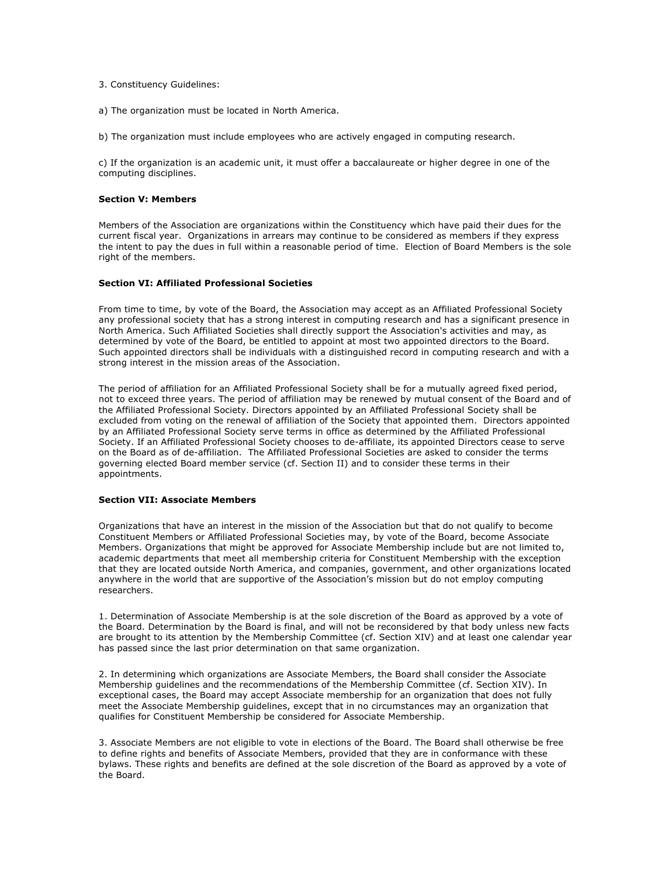- 3. Constituency Guidelines:
- a) The organization must be located in North America.

b) The organization must include employees who are actively engaged in computing research.

c) If the organization is an academic unit, it must offer a baccalaureate or higher degree in one of the computing disciplines.

## **Section V: Members**

Members of the Association are organizations within the Constituency which have paid their dues for the current fiscal year. Organizations in arrears may continue to be considered as members if they express the intent to pay the dues in full within a reasonable period of time. Election of Board Members is the sole right of the members.

# **Section VI: Affiliated Professional Societies**

From time to time, by vote of the Board, the Association may accept as an Affiliated Professional Society any professional society that has a strong interest in computing research and has a significant presence in North America. Such Affiliated Societies shall directly support the Association's activities and may, as determined by vote of the Board, be entitled to appoint at most two appointed directors to the Board. Such appointed directors shall be individuals with a distinguished record in computing research and with a strong interest in the mission areas of the Association.

The period of affiliation for an Affiliated Professional Society shall be for a mutually agreed fixed period, not to exceed three years. The period of affiliation may be renewed by mutual consent of the Board and of the Affiliated Professional Society. Directors appointed by an Affiliated Professional Society shall be excluded from voting on the renewal of affiliation of the Society that appointed them. Directors appointed by an Affiliated Professional Society serve terms in office as determined by the Affiliated Professional Society. If an Affiliated Professional Society chooses to de-affiliate, its appointed Directors cease to serve on the Board as of de-affiliation. The Affiliated Professional Societies are asked to consider the terms governing elected Board member service (cf. Section II) and to consider these terms in their appointments.

# **Section VII: Associate Members**

Organizations that have an interest in the mission of the Association but that do not qualify to become Constituent Members or Affiliated Professional Societies may, by vote of the Board, become Associate Members. Organizations that might be approved for Associate Membership include but are not limited to, academic departments that meet all membership criteria for Constituent Membership with the exception that they are located outside North America, and companies, government, and other organizations located anywhere in the world that are supportive of the Association's mission but do not employ computing researchers.

1. Determination of Associate Membership is at the sole discretion of the Board as approved by a vote of the Board. Determination by the Board is final, and will not be reconsidered by that body unless new facts are brought to its attention by the Membership Committee (cf. Section XIV) and at least one calendar year has passed since the last prior determination on that same organization.

2. In determining which organizations are Associate Members, the Board shall consider the Associate Membership guidelines and the recommendations of the Membership Committee (cf. Section XIV). In exceptional cases, the Board may accept Associate membership for an organization that does not fully meet the Associate Membership guidelines, except that in no circumstances may an organization that qualifies for Constituent Membership be considered for Associate Membership.

3. Associate Members are not eligible to vote in elections of the Board. The Board shall otherwise be free to define rights and benefits of Associate Members, provided that they are in conformance with these bylaws. These rights and benefits are defined at the sole discretion of the Board as approved by a vote of the Board.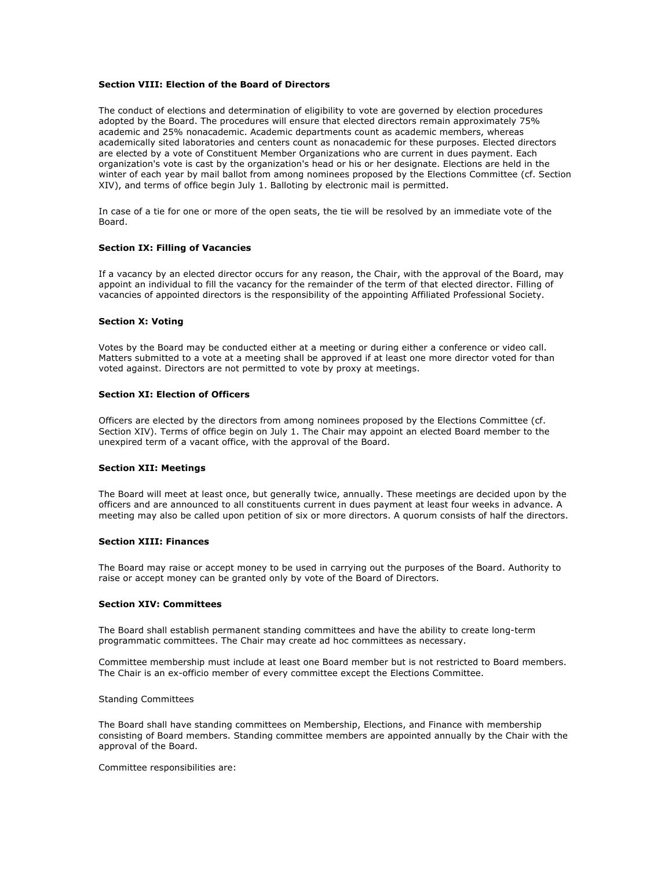## **Section VIII: Election of the Board of Directors**

The conduct of elections and determination of eligibility to vote are governed by election procedures adopted by the Board. The procedures will ensure that elected directors remain approximately 75% academic and 25% nonacademic. Academic departments count as academic members, whereas academically sited laboratories and centers count as nonacademic for these purposes. Elected directors are elected by a vote of Constituent Member Organizations who are current in dues payment. Each organization's vote is cast by the organization's head or his or her designate. Elections are held in the winter of each year by mail ballot from among nominees proposed by the Elections Committee (cf. Section XIV), and terms of office begin July 1. Balloting by electronic mail is permitted.

In case of a tie for one or more of the open seats, the tie will be resolved by an immediate vote of the Board.

## **Section IX: Filling of Vacancies**

If a vacancy by an elected director occurs for any reason, the Chair, with the approval of the Board, may appoint an individual to fill the vacancy for the remainder of the term of that elected director. Filling of vacancies of appointed directors is the responsibility of the appointing Affiliated Professional Society.

### **Section X: Voting**

Votes by the Board may be conducted either at a meeting or during either a conference or video call. Matters submitted to a vote at a meeting shall be approved if at least one more director voted for than voted against. Directors are not permitted to vote by proxy at meetings.

## **Section XI: Election of Officers**

Officers are elected by the directors from among nominees proposed by the Elections Committee (cf. Section XIV). Terms of office begin on July 1. The Chair may appoint an elected Board member to the unexpired term of a vacant office, with the approval of the Board.

#### **Section XII: Meetings**

The Board will meet at least once, but generally twice, annually. These meetings are decided upon by the officers and are announced to all constituents current in dues payment at least four weeks in advance. A meeting may also be called upon petition of six or more directors. A quorum consists of half the directors.

#### **Section XIII: Finances**

The Board may raise or accept money to be used in carrying out the purposes of the Board. Authority to raise or accept money can be granted only by vote of the Board of Directors.

# **Section XIV: Committees**

The Board shall establish permanent standing committees and have the ability to create long-term programmatic committees. The Chair may create ad hoc committees as necessary.

Committee membership must include at least one Board member but is not restricted to Board members. The Chair is an ex-officio member of every committee except the Elections Committee.

## Standing Committees

The Board shall have standing committees on Membership, Elections, and Finance with membership consisting of Board members. Standing committee members are appointed annually by the Chair with the approval of the Board.

Committee responsibilities are: